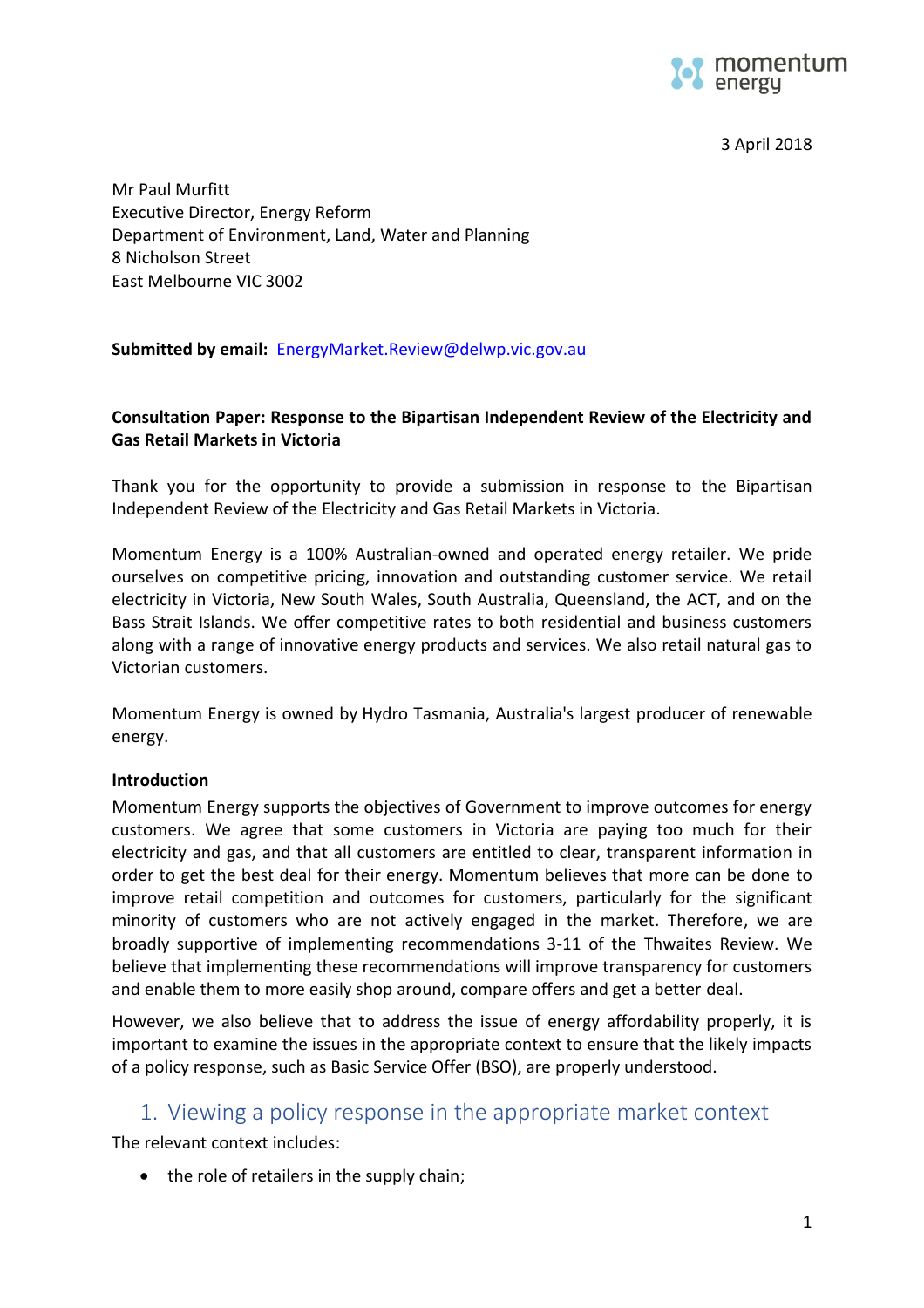

3 April 2018

Mr Paul Murfitt Executive Director, Energy Reform Department of Environment, Land, Water and Planning 8 Nicholson Street East Melbourne VIC 3002

**Submitted by email:** [EnergyMarket.Review@delwp.vic.gov.au](mailto:EnergyMarket.Review@delwp.vic.gov.au)

#### **Consultation Paper: Response to the Bipartisan Independent Review of the Electricity and Gas Retail Markets in Victoria**

Thank you for the opportunity to provide a submission in response to the Bipartisan Independent Review of the Electricity and Gas Retail Markets in Victoria.

Momentum Energy is a 100% Australian-owned and operated energy retailer. We pride ourselves on competitive pricing, innovation and outstanding customer service. We retail electricity in Victoria, New South Wales, South Australia, Queensland, the ACT, and on the Bass Strait Islands. We offer competitive rates to both residential and business customers along with a range of innovative energy products and services. We also retail natural gas to Victorian customers.

Momentum Energy is owned by [Hydro Tasmania,](http://www.momentumenergy.com.au/about-us/hydro-tasmania-group) Australia's largest producer of renewable energy.

#### **Introduction**

Momentum Energy supports the objectives of Government to improve outcomes for energy customers. We agree that some customers in Victoria are paying too much for their electricity and gas, and that all customers are entitled to clear, transparent information in order to get the best deal for their energy. Momentum believes that more can be done to improve retail competition and outcomes for customers, particularly for the significant minority of customers who are not actively engaged in the market. Therefore, we are broadly supportive of implementing recommendations 3-11 of the Thwaites Review. We believe that implementing these recommendations will improve transparency for customers and enable them to more easily shop around, compare offers and get a better deal.

However, we also believe that to address the issue of energy affordability properly, it is important to examine the issues in the appropriate context to ensure that the likely impacts of a policy response, such as Basic Service Offer (BSO), are properly understood.

# 1. Viewing a policy response in the appropriate market context

The relevant context includes:

• the role of retailers in the supply chain;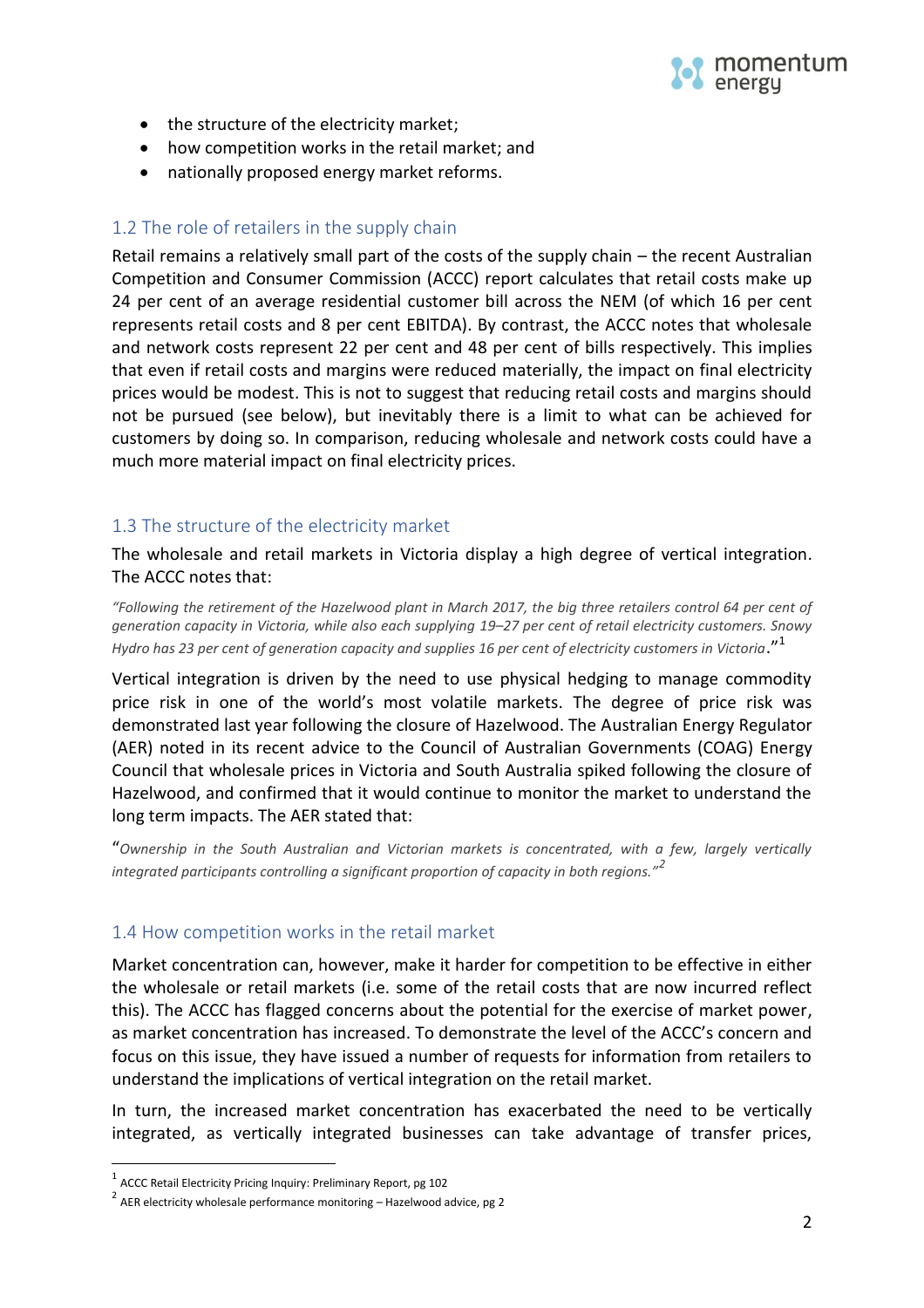

- the structure of the electricity market;
- how competition works in the retail market; and
- nationally proposed energy market reforms.

### 1.2 The role of retailers in the supply chain

Retail remains a relatively small part of the costs of the supply chain – the recent Australian Competition and Consumer Commission (ACCC) report calculates that retail costs make up 24 per cent of an average residential customer bill across the NEM (of which 16 per cent represents retail costs and 8 per cent EBITDA). By contrast, the ACCC notes that wholesale and network costs represent 22 per cent and 48 per cent of bills respectively. This implies that even if retail costs and margins were reduced materially, the impact on final electricity prices would be modest. This is not to suggest that reducing retail costs and margins should not be pursued (see below), but inevitably there is a limit to what can be achieved for customers by doing so. In comparison, reducing wholesale and network costs could have a much more material impact on final electricity prices.

### 1.3 The structure of the electricity market

The wholesale and retail markets in Victoria display a high degree of vertical integration. The ACCC notes that:

*"Following the retirement of the Hazelwood plant in March 2017, the big three retailers control 64 per cent of generation capacity in Victoria, while also each supplying 19–27 per cent of retail electricity customers. Snowy Hydro has 23 per cent of generation capacity and supplies 16 per cent of electricity customers in Victoria*."<sup>1</sup>

Vertical integration is driven by the need to use physical hedging to manage commodity price risk in one of the world's most volatile markets. The degree of price risk was demonstrated last year following the closure of Hazelwood. The Australian Energy Regulator (AER) noted in its recent advice to the Council of Australian Governments (COAG) Energy Council that wholesale prices in Victoria and South Australia spiked following the closure of Hazelwood, and confirmed that it would continue to monitor the market to understand the long term impacts. The AER stated that:

"*Ownership in the South Australian and Victorian markets is concentrated, with a few, largely vertically integrated participants controlling a significant proportion of capacity in both regions."<sup>2</sup>*

### 1.4 How competition works in the retail market

Market concentration can, however, make it harder for competition to be effective in either the wholesale or retail markets (i.e. some of the retail costs that are now incurred reflect this). The ACCC has flagged concerns about the potential for the exercise of market power, as market concentration has increased. To demonstrate the level of the ACCC's concern and focus on this issue, they have issued a number of requests for information from retailers to understand the implications of vertical integration on the retail market.

In turn, the increased market concentration has exacerbated the need to be vertically integrated, as vertically integrated businesses can take advantage of transfer prices,

 $\overline{a}$ 

 $^1$  ACCC Retail Electricity Pricing Inquiry: Preliminary Report, pg 102

 $^{2}$  AER electricity wholesale performance monitoring – Hazelwood advice, pg 2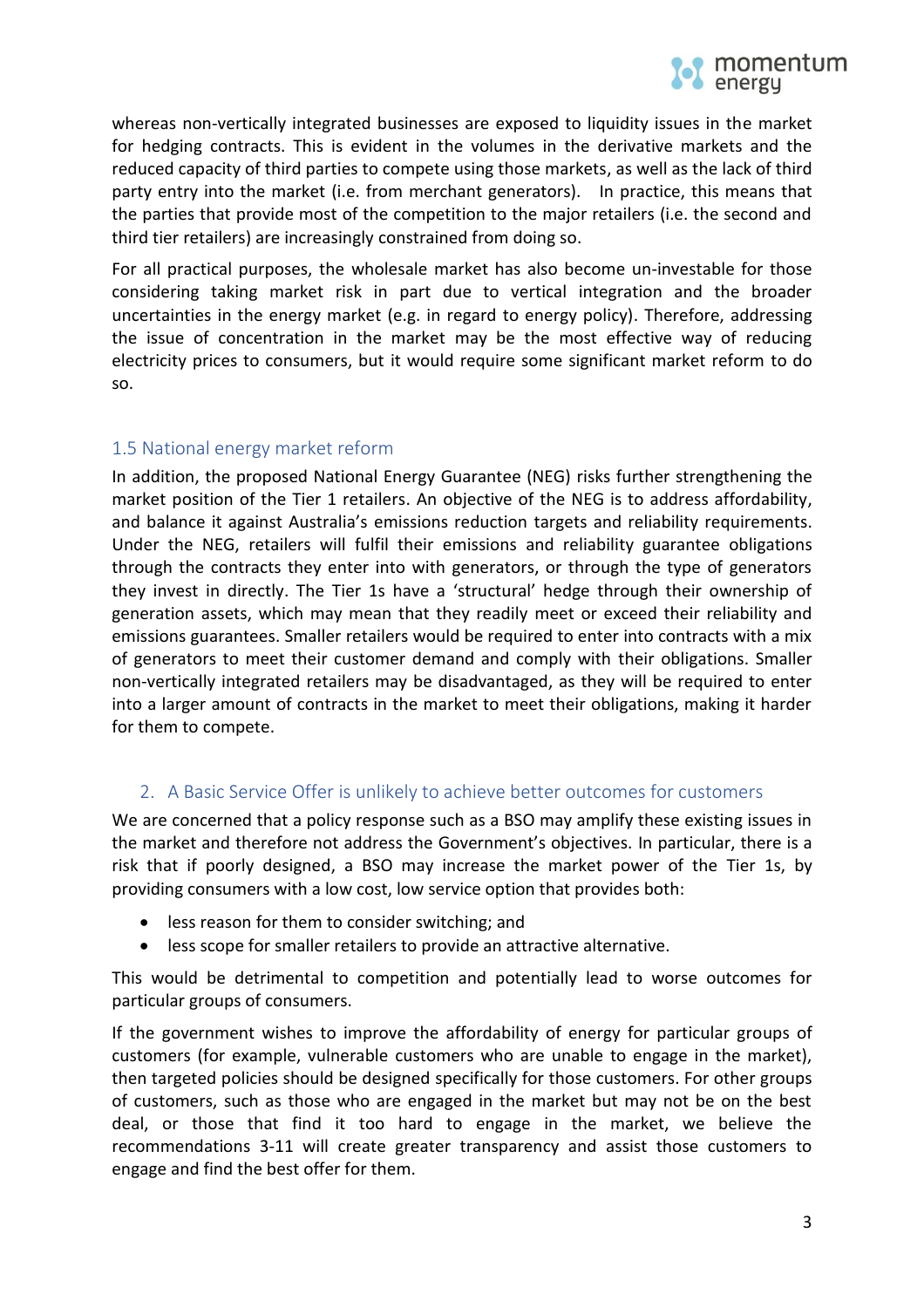

whereas non-vertically integrated businesses are exposed to liquidity issues in the market for hedging contracts. This is evident in the volumes in the derivative markets and the reduced capacity of third parties to compete using those markets, as well as the lack of third party entry into the market (i.e. from merchant generators). In practice, this means that the parties that provide most of the competition to the major retailers (i.e. the second and third tier retailers) are increasingly constrained from doing so.

For all practical purposes, the wholesale market has also become un-investable for those considering taking market risk in part due to vertical integration and the broader uncertainties in the energy market (e.g. in regard to energy policy). Therefore, addressing the issue of concentration in the market may be the most effective way of reducing electricity prices to consumers, but it would require some significant market reform to do so.

# 1.5 National energy market reform

In addition, the proposed National Energy Guarantee (NEG) risks further strengthening the market position of the Tier 1 retailers. An objective of the NEG is to address affordability, and balance it against Australia's emissions reduction targets and reliability requirements. Under the NEG, retailers will fulfil their emissions and reliability guarantee obligations through the contracts they enter into with generators, or through the type of generators they invest in directly. The Tier 1s have a 'structural' hedge through their ownership of generation assets, which may mean that they readily meet or exceed their reliability and emissions guarantees. Smaller retailers would be required to enter into contracts with a mix of generators to meet their customer demand and comply with their obligations. Smaller non-vertically integrated retailers may be disadvantaged, as they will be required to enter into a larger amount of contracts in the market to meet their obligations, making it harder for them to compete.

### 2. A Basic Service Offer is unlikely to achieve better outcomes for customers

We are concerned that a policy response such as a BSO may amplify these existing issues in the market and therefore not address the Government's objectives. In particular, there is a risk that if poorly designed, a BSO may increase the market power of the Tier 1s, by providing consumers with a low cost, low service option that provides both:

- less reason for them to consider switching; and
- less scope for smaller retailers to provide an attractive alternative.

This would be detrimental to competition and potentially lead to worse outcomes for particular groups of consumers.

If the government wishes to improve the affordability of energy for particular groups of customers (for example, vulnerable customers who are unable to engage in the market), then targeted policies should be designed specifically for those customers. For other groups of customers, such as those who are engaged in the market but may not be on the best deal, or those that find it too hard to engage in the market, we believe the recommendations 3-11 will create greater transparency and assist those customers to engage and find the best offer for them.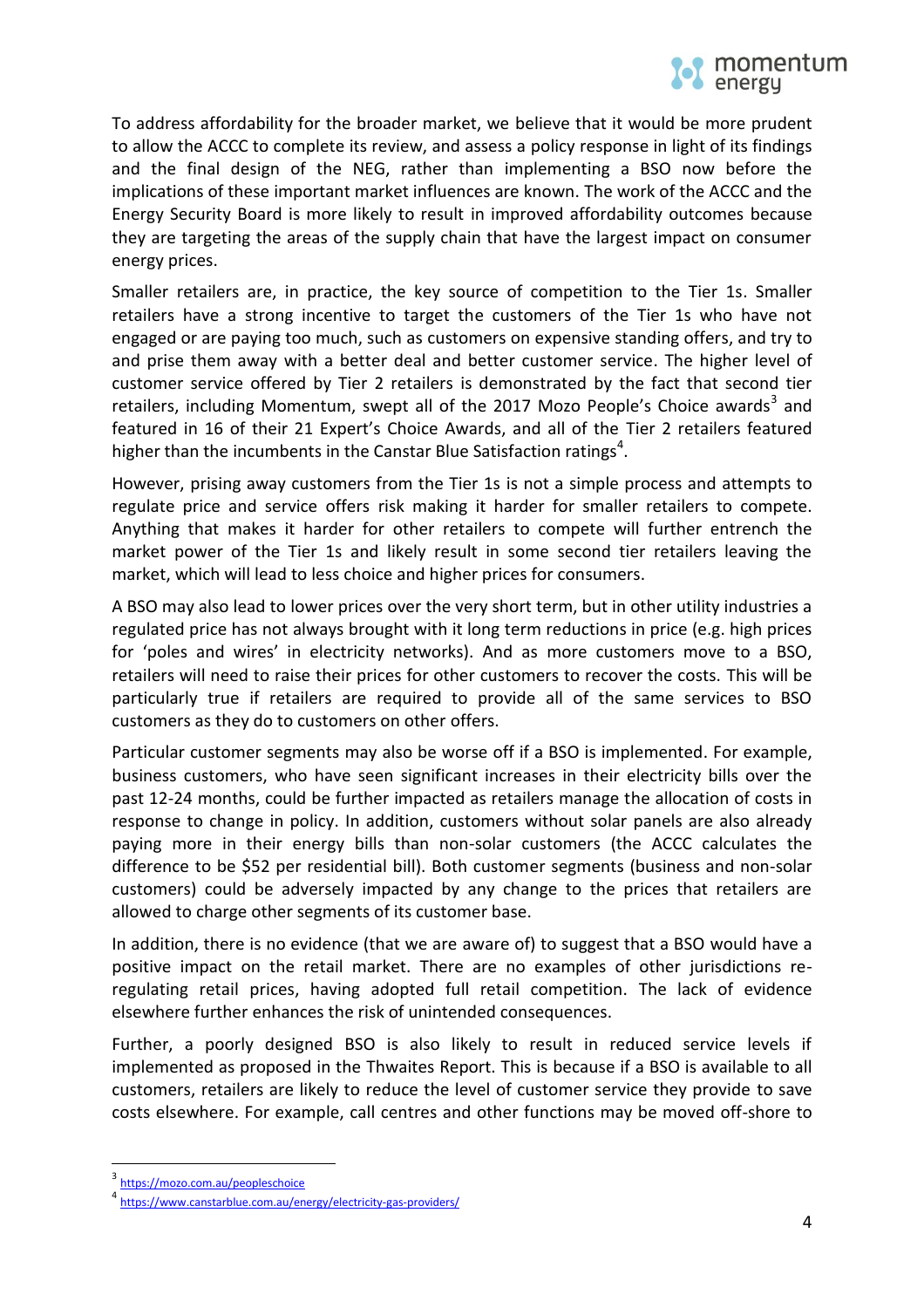

To address affordability for the broader market, we believe that it would be more prudent to allow the ACCC to complete its review, and assess a policy response in light of its findings and the final design of the NEG, rather than implementing a BSO now before the implications of these important market influences are known. The work of the ACCC and the Energy Security Board is more likely to result in improved affordability outcomes because they are targeting the areas of the supply chain that have the largest impact on consumer energy prices.

Smaller retailers are, in practice, the key source of competition to the Tier 1s. Smaller retailers have a strong incentive to target the customers of the Tier 1s who have not engaged or are paying too much, such as customers on expensive standing offers, and try to and prise them away with a better deal and better customer service. The higher level of customer service offered by Tier 2 retailers is demonstrated by the fact that second tier retailers, including Momentum, swept all of the 2017 Mozo People's Choice awards<sup>3</sup> and featured in 16 of their 21 Expert's Choice Awards, and all of the Tier 2 retailers featured higher than the incumbents in the Canstar Blue Satisfaction ratings<sup>4</sup>.

However, prising away customers from the Tier 1s is not a simple process and attempts to regulate price and service offers risk making it harder for smaller retailers to compete. Anything that makes it harder for other retailers to compete will further entrench the market power of the Tier 1s and likely result in some second tier retailers leaving the market, which will lead to less choice and higher prices for consumers.

A BSO may also lead to lower prices over the very short term, but in other utility industries a regulated price has not always brought with it long term reductions in price (e.g. high prices for 'poles and wires' in electricity networks). And as more customers move to a BSO, retailers will need to raise their prices for other customers to recover the costs. This will be particularly true if retailers are required to provide all of the same services to BSO customers as they do to customers on other offers.

Particular customer segments may also be worse off if a BSO is implemented. For example, business customers, who have seen significant increases in their electricity bills over the past 12-24 months, could be further impacted as retailers manage the allocation of costs in response to change in policy. In addition, customers without solar panels are also already paying more in their energy bills than non-solar customers (the ACCC calculates the difference to be \$52 per residential bill). Both customer segments (business and non-solar customers) could be adversely impacted by any change to the prices that retailers are allowed to charge other segments of its customer base.

In addition, there is no evidence (that we are aware of) to suggest that a BSO would have a positive impact on the retail market. There are no examples of other jurisdictions reregulating retail prices, having adopted full retail competition. The lack of evidence elsewhere further enhances the risk of unintended consequences.

Further, a poorly designed BSO is also likely to result in reduced service levels if implemented as proposed in the Thwaites Report. This is because if a BSO is available to all customers, retailers are likely to reduce the level of customer service they provide to save costs elsewhere. For example, call centres and other functions may be moved off-shore to

 $\overline{a}$ 

<sup>&</sup>lt;sup>3</sup><https://mozo.com.au/peopleschoice>

<sup>4</sup> <https://www.canstarblue.com.au/energy/electricity-gas-providers/>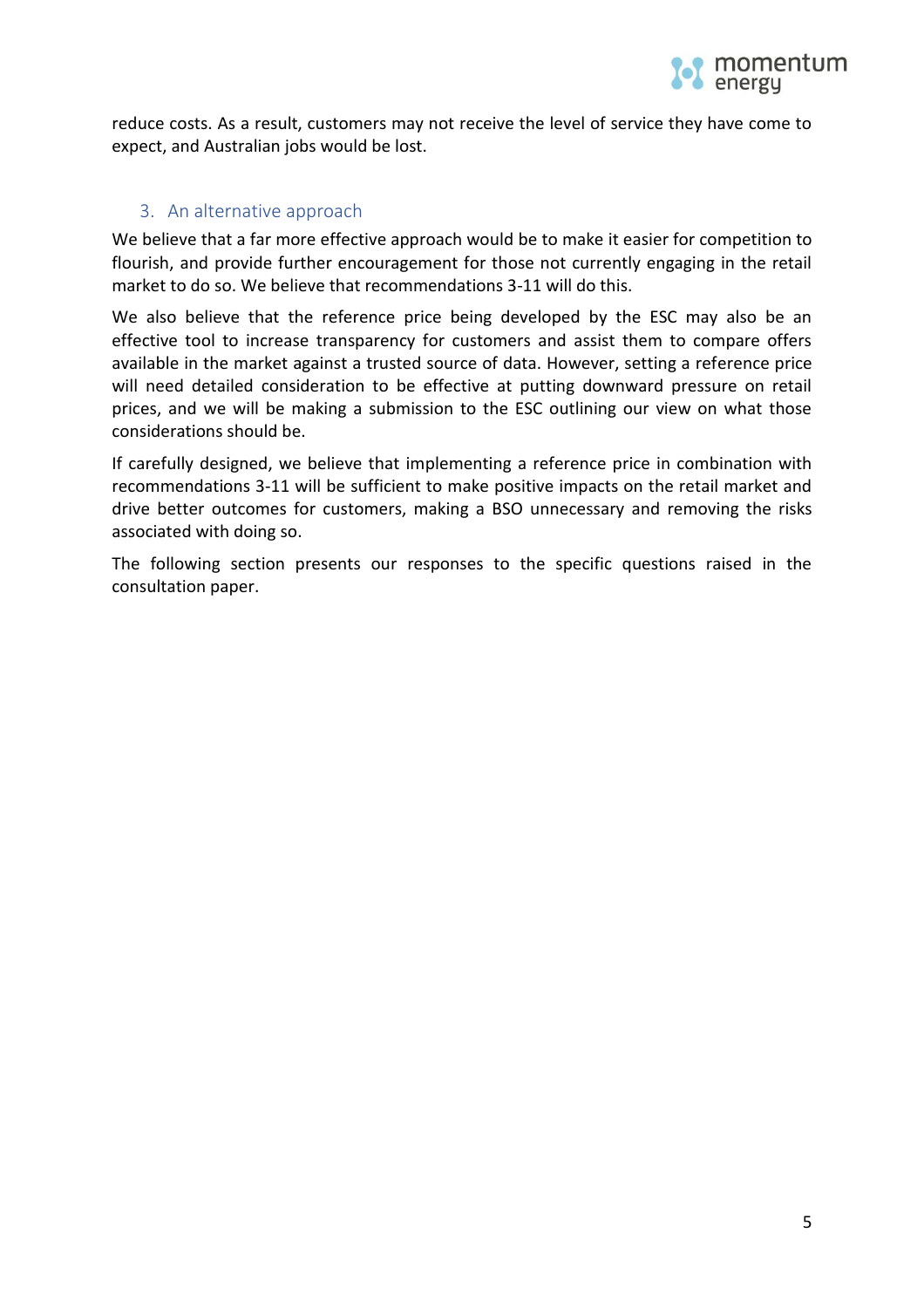

reduce costs. As a result, customers may not receive the level of service they have come to expect, and Australian jobs would be lost.

## 3. An alternative approach

We believe that a far more effective approach would be to make it easier for competition to flourish, and provide further encouragement for those not currently engaging in the retail market to do so. We believe that recommendations 3-11 will do this.

We also believe that the reference price being developed by the ESC may also be an effective tool to increase transparency for customers and assist them to compare offers available in the market against a trusted source of data. However, setting a reference price will need detailed consideration to be effective at putting downward pressure on retail prices, and we will be making a submission to the ESC outlining our view on what those considerations should be.

If carefully designed, we believe that implementing a reference price in combination with recommendations 3-11 will be sufficient to make positive impacts on the retail market and drive better outcomes for customers, making a BSO unnecessary and removing the risks associated with doing so.

The following section presents our responses to the specific questions raised in the consultation paper.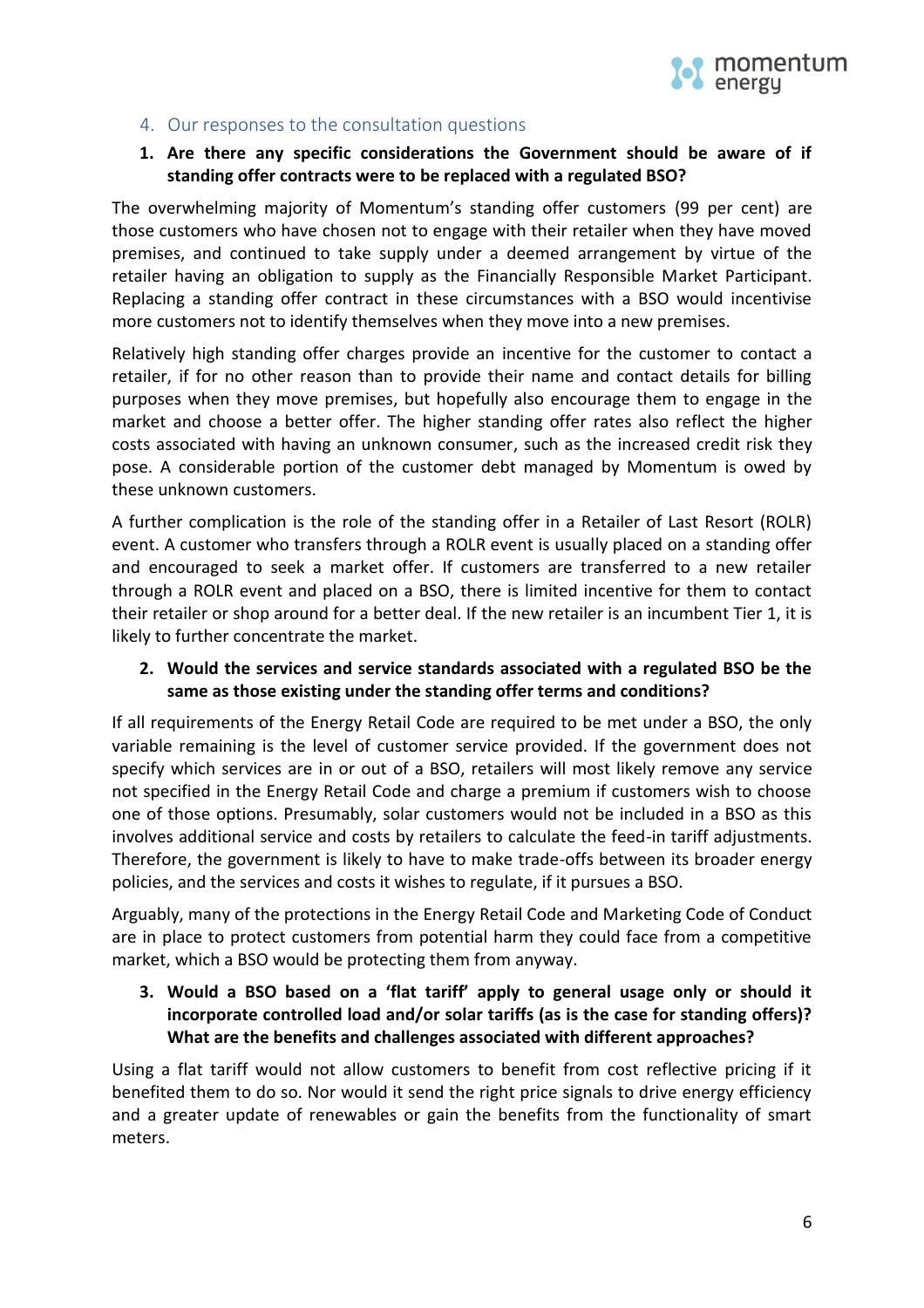

#### 4. Our responses to the consultation questions

#### **1. Are there any specific considerations the Government should be aware of if standing offer contracts were to be replaced with a regulated BSO?**

The overwhelming majority of Momentum's standing offer customers (99 per cent) are those customers who have chosen not to engage with their retailer when they have moved premises, and continued to take supply under a deemed arrangement by virtue of the retailer having an obligation to supply as the Financially Responsible Market Participant. Replacing a standing offer contract in these circumstances with a BSO would incentivise more customers not to identify themselves when they move into a new premises.

Relatively high standing offer charges provide an incentive for the customer to contact a retailer, if for no other reason than to provide their name and contact details for billing purposes when they move premises, but hopefully also encourage them to engage in the market and choose a better offer. The higher standing offer rates also reflect the higher costs associated with having an unknown consumer, such as the increased credit risk they pose. A considerable portion of the customer debt managed by Momentum is owed by these unknown customers.

A further complication is the role of the standing offer in a Retailer of Last Resort (ROLR) event. A customer who transfers through a ROLR event is usually placed on a standing offer and encouraged to seek a market offer. If customers are transferred to a new retailer through a ROLR event and placed on a BSO, there is limited incentive for them to contact their retailer or shop around for a better deal. If the new retailer is an incumbent Tier 1, it is likely to further concentrate the market.

#### **2. Would the services and service standards associated with a regulated BSO be the same as those existing under the standing offer terms and conditions?**

If all requirements of the Energy Retail Code are required to be met under a BSO, the only variable remaining is the level of customer service provided. If the government does not specify which services are in or out of a BSO, retailers will most likely remove any service not specified in the Energy Retail Code and charge a premium if customers wish to choose one of those options. Presumably, solar customers would not be included in a BSO as this involves additional service and costs by retailers to calculate the feed-in tariff adjustments. Therefore, the government is likely to have to make trade-offs between its broader energy policies, and the services and costs it wishes to regulate, if it pursues a BSO.

Arguably, many of the protections in the Energy Retail Code and Marketing Code of Conduct are in place to protect customers from potential harm they could face from a competitive market, which a BSO would be protecting them from anyway.

### **3. Would a BSO based on a 'flat tariff' apply to general usage only or should it incorporate controlled load and/or solar tariffs (as is the case for standing offers)? What are the benefits and challenges associated with different approaches?**

Using a flat tariff would not allow customers to benefit from cost reflective pricing if it benefited them to do so. Nor would it send the right price signals to drive energy efficiency and a greater update of renewables or gain the benefits from the functionality of smart meters.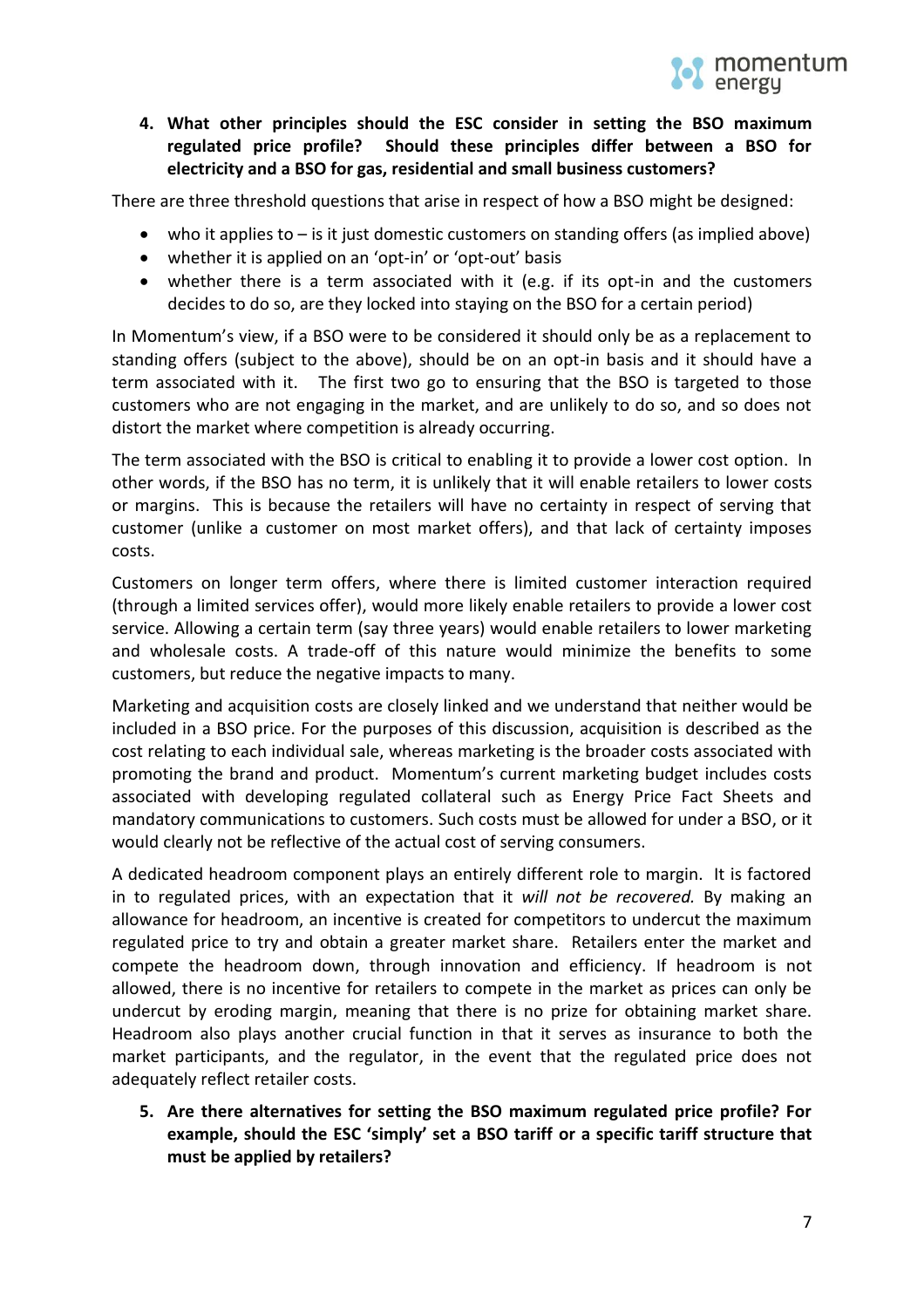

# **4. What other principles should the ESC consider in setting the BSO maximum regulated price profile? Should these principles differ between a BSO for electricity and a BSO for gas, residential and small business customers?**

There are three threshold questions that arise in respect of how a BSO might be designed:

- who it applies to is it just domestic customers on standing offers (as implied above)
- whether it is applied on an 'opt-in' or 'opt-out' basis
- whether there is a term associated with it (e.g. if its opt-in and the customers decides to do so, are they locked into staying on the BSO for a certain period)

In Momentum's view, if a BSO were to be considered it should only be as a replacement to standing offers (subject to the above), should be on an opt-in basis and it should have a term associated with it. The first two go to ensuring that the BSO is targeted to those customers who are not engaging in the market, and are unlikely to do so, and so does not distort the market where competition is already occurring.

The term associated with the BSO is critical to enabling it to provide a lower cost option. In other words, if the BSO has no term, it is unlikely that it will enable retailers to lower costs or margins. This is because the retailers will have no certainty in respect of serving that customer (unlike a customer on most market offers), and that lack of certainty imposes costs.

Customers on longer term offers, where there is limited customer interaction required (through a limited services offer), would more likely enable retailers to provide a lower cost service. Allowing a certain term (say three years) would enable retailers to lower marketing and wholesale costs. A trade-off of this nature would minimize the benefits to some customers, but reduce the negative impacts to many.

Marketing and acquisition costs are closely linked and we understand that neither would be included in a BSO price. For the purposes of this discussion, acquisition is described as the cost relating to each individual sale, whereas marketing is the broader costs associated with promoting the brand and product. Momentum's current marketing budget includes costs associated with developing regulated collateral such as Energy Price Fact Sheets and mandatory communications to customers. Such costs must be allowed for under a BSO, or it would clearly not be reflective of the actual cost of serving consumers.

A dedicated headroom component plays an entirely different role to margin. It is factored in to regulated prices, with an expectation that it *will not be recovered.* By making an allowance for headroom, an incentive is created for competitors to undercut the maximum regulated price to try and obtain a greater market share. Retailers enter the market and compete the headroom down, through innovation and efficiency. If headroom is not allowed, there is no incentive for retailers to compete in the market as prices can only be undercut by eroding margin, meaning that there is no prize for obtaining market share. Headroom also plays another crucial function in that it serves as insurance to both the market participants, and the regulator, in the event that the regulated price does not adequately reflect retailer costs.

**5. Are there alternatives for setting the BSO maximum regulated price profile? For example, should the ESC 'simply' set a BSO tariff or a specific tariff structure that must be applied by retailers?**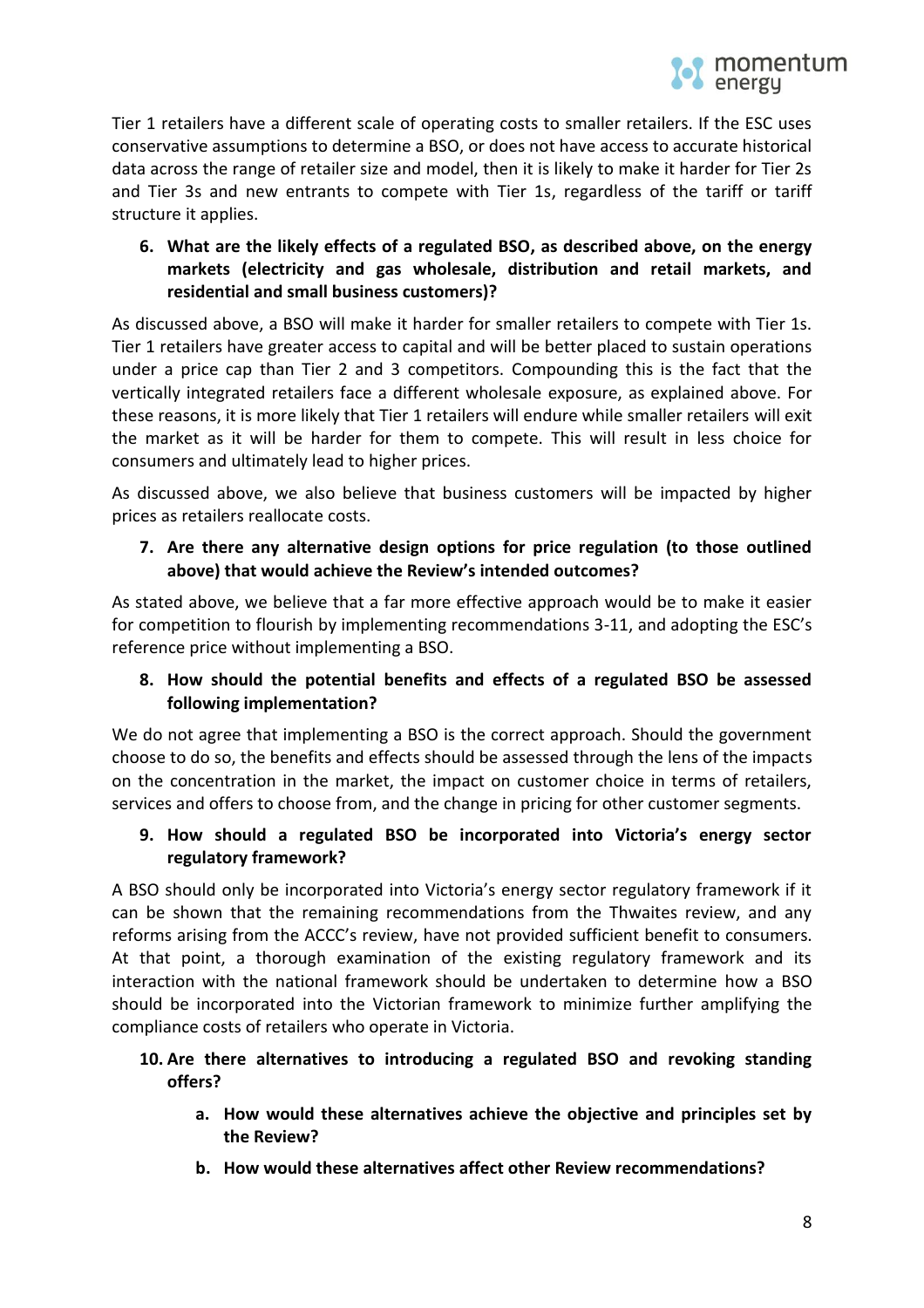Tier 1 retailers have a different scale of operating costs to smaller retailers. If the ESC uses conservative assumptions to determine a BSO, or does not have access to accurate historical data across the range of retailer size and model, then it is likely to make it harder for Tier 2s and Tier 3s and new entrants to compete with Tier 1s, regardless of the tariff or tariff structure it applies.

# **6. What are the likely effects of a regulated BSO, as described above, on the energy markets (electricity and gas wholesale, distribution and retail markets, and residential and small business customers)?**

As discussed above, a BSO will make it harder for smaller retailers to compete with Tier 1s. Tier 1 retailers have greater access to capital and will be better placed to sustain operations under a price cap than Tier 2 and 3 competitors. Compounding this is the fact that the vertically integrated retailers face a different wholesale exposure, as explained above. For these reasons, it is more likely that Tier 1 retailers will endure while smaller retailers will exit the market as it will be harder for them to compete. This will result in less choice for consumers and ultimately lead to higher prices.

As discussed above, we also believe that business customers will be impacted by higher prices as retailers reallocate costs.

# **7. Are there any alternative design options for price regulation (to those outlined above) that would achieve the Review's intended outcomes?**

As stated above, we believe that a far more effective approach would be to make it easier for competition to flourish by implementing recommendations 3-11, and adopting the ESC's reference price without implementing a BSO.

# **8. How should the potential benefits and effects of a regulated BSO be assessed following implementation?**

We do not agree that implementing a BSO is the correct approach. Should the government choose to do so, the benefits and effects should be assessed through the lens of the impacts on the concentration in the market, the impact on customer choice in terms of retailers, services and offers to choose from, and the change in pricing for other customer segments.

# **9. How should a regulated BSO be incorporated into Victoria's energy sector regulatory framework?**

A BSO should only be incorporated into Victoria's energy sector regulatory framework if it can be shown that the remaining recommendations from the Thwaites review, and any reforms arising from the ACCC's review, have not provided sufficient benefit to consumers. At that point, a thorough examination of the existing regulatory framework and its interaction with the national framework should be undertaken to determine how a BSO should be incorporated into the Victorian framework to minimize further amplifying the compliance costs of retailers who operate in Victoria.

# **10. Are there alternatives to introducing a regulated BSO and revoking standing offers?**

- **a. How would these alternatives achieve the objective and principles set by the Review?**
- **b. How would these alternatives affect other Review recommendations?**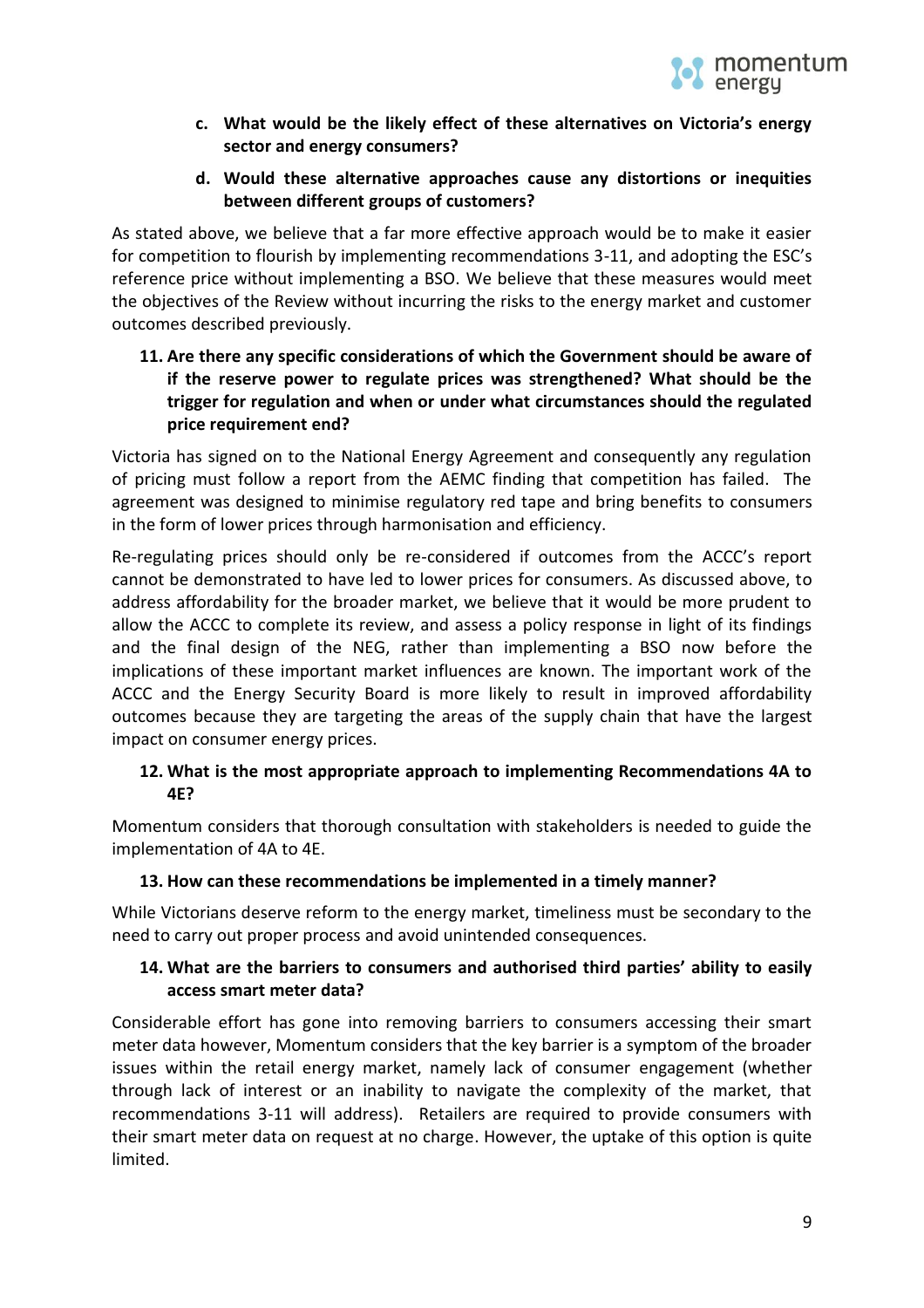

- **c. What would be the likely effect of these alternatives on Victoria's energy sector and energy consumers?**
- **d. Would these alternative approaches cause any distortions or inequities between different groups of customers?**

As stated above, we believe that a far more effective approach would be to make it easier for competition to flourish by implementing recommendations 3-11, and adopting the ESC's reference price without implementing a BSO. We believe that these measures would meet the objectives of the Review without incurring the risks to the energy market and customer outcomes described previously.

## **11. Are there any specific considerations of which the Government should be aware of if the reserve power to regulate prices was strengthened? What should be the trigger for regulation and when or under what circumstances should the regulated price requirement end?**

Victoria has signed on to the National Energy Agreement and consequently any regulation of pricing must follow a report from the AEMC finding that competition has failed. The agreement was designed to minimise regulatory red tape and bring benefits to consumers in the form of lower prices through harmonisation and efficiency.

Re-regulating prices should only be re-considered if outcomes from the ACCC's report cannot be demonstrated to have led to lower prices for consumers. As discussed above, to address affordability for the broader market, we believe that it would be more prudent to allow the ACCC to complete its review, and assess a policy response in light of its findings and the final design of the NEG, rather than implementing a BSO now before the implications of these important market influences are known. The important work of the ACCC and the Energy Security Board is more likely to result in improved affordability outcomes because they are targeting the areas of the supply chain that have the largest impact on consumer energy prices.

# **12. What is the most appropriate approach to implementing Recommendations 4A to 4E?**

Momentum considers that thorough consultation with stakeholders is needed to guide the implementation of 4A to 4E.

### **13. How can these recommendations be implemented in a timely manner?**

While Victorians deserve reform to the energy market, timeliness must be secondary to the need to carry out proper process and avoid unintended consequences.

### **14. What are the barriers to consumers and authorised third parties' ability to easily access smart meter data?**

Considerable effort has gone into removing barriers to consumers accessing their smart meter data however, Momentum considers that the key barrier is a symptom of the broader issues within the retail energy market, namely lack of consumer engagement (whether through lack of interest or an inability to navigate the complexity of the market, that recommendations 3-11 will address). Retailers are required to provide consumers with their smart meter data on request at no charge. However, the uptake of this option is quite limited.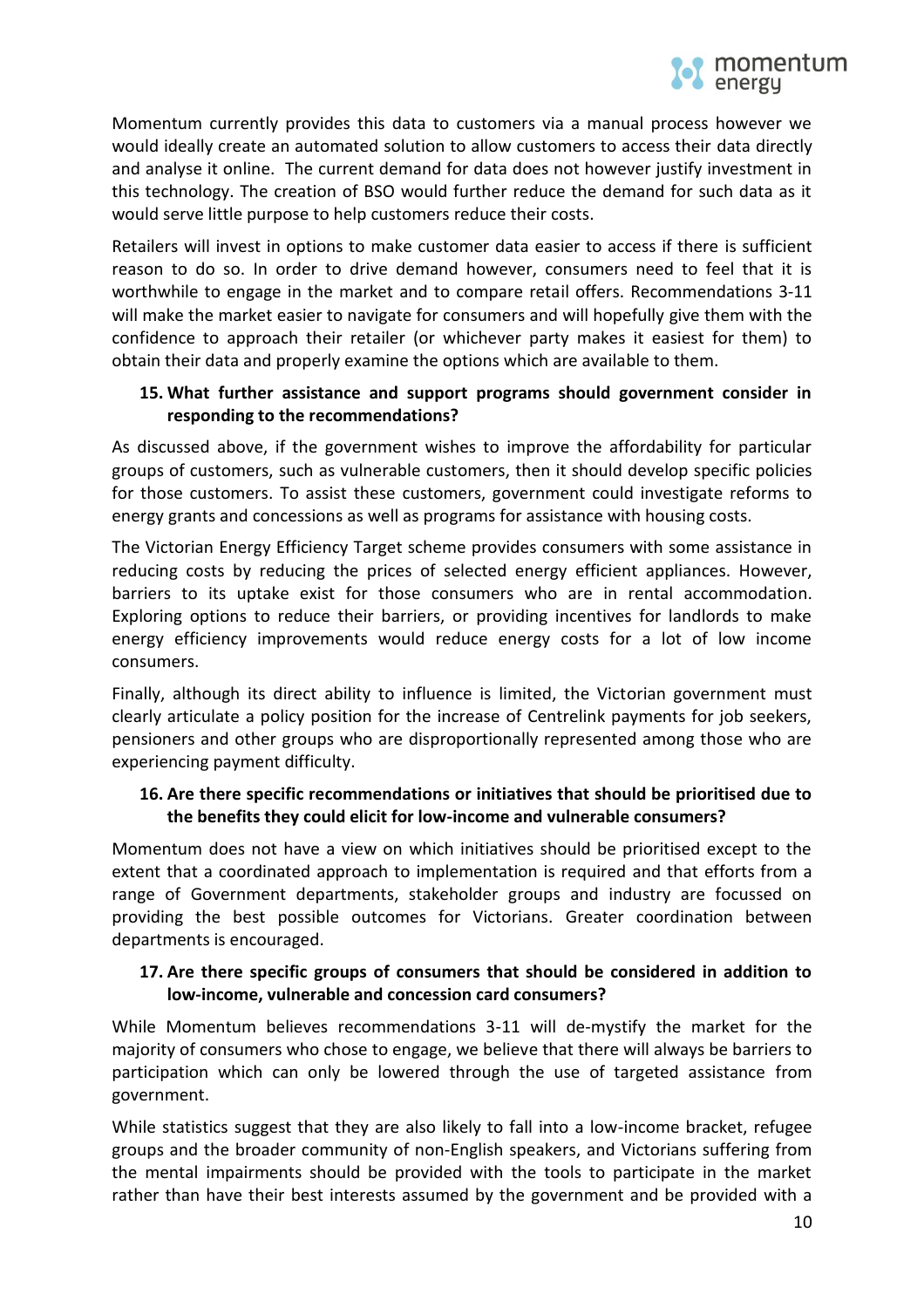

Momentum currently provides this data to customers via a manual process however we would ideally create an automated solution to allow customers to access their data directly and analyse it online. The current demand for data does not however justify investment in this technology. The creation of BSO would further reduce the demand for such data as it would serve little purpose to help customers reduce their costs.

Retailers will invest in options to make customer data easier to access if there is sufficient reason to do so. In order to drive demand however, consumers need to feel that it is worthwhile to engage in the market and to compare retail offers. Recommendations 3-11 will make the market easier to navigate for consumers and will hopefully give them with the confidence to approach their retailer (or whichever party makes it easiest for them) to obtain their data and properly examine the options which are available to them.

### **15. What further assistance and support programs should government consider in responding to the recommendations?**

As discussed above, if the government wishes to improve the affordability for particular groups of customers, such as vulnerable customers, then it should develop specific policies for those customers. To assist these customers, government could investigate reforms to energy grants and concessions as well as programs for assistance with housing costs.

The Victorian Energy Efficiency Target scheme provides consumers with some assistance in reducing costs by reducing the prices of selected energy efficient appliances. However, barriers to its uptake exist for those consumers who are in rental accommodation. Exploring options to reduce their barriers, or providing incentives for landlords to make energy efficiency improvements would reduce energy costs for a lot of low income consumers.

Finally, although its direct ability to influence is limited, the Victorian government must clearly articulate a policy position for the increase of Centrelink payments for job seekers, pensioners and other groups who are disproportionally represented among those who are experiencing payment difficulty.

#### **16. Are there specific recommendations or initiatives that should be prioritised due to the benefits they could elicit for low-income and vulnerable consumers?**

Momentum does not have a view on which initiatives should be prioritised except to the extent that a coordinated approach to implementation is required and that efforts from a range of Government departments, stakeholder groups and industry are focussed on providing the best possible outcomes for Victorians. Greater coordination between departments is encouraged.

#### **17. Are there specific groups of consumers that should be considered in addition to low-income, vulnerable and concession card consumers?**

While Momentum believes recommendations 3-11 will de-mystify the market for the majority of consumers who chose to engage, we believe that there will always be barriers to participation which can only be lowered through the use of targeted assistance from government.

While statistics suggest that they are also likely to fall into a low-income bracket, refugee groups and the broader community of non-English speakers, and Victorians suffering from the mental impairments should be provided with the tools to participate in the market rather than have their best interests assumed by the government and be provided with a